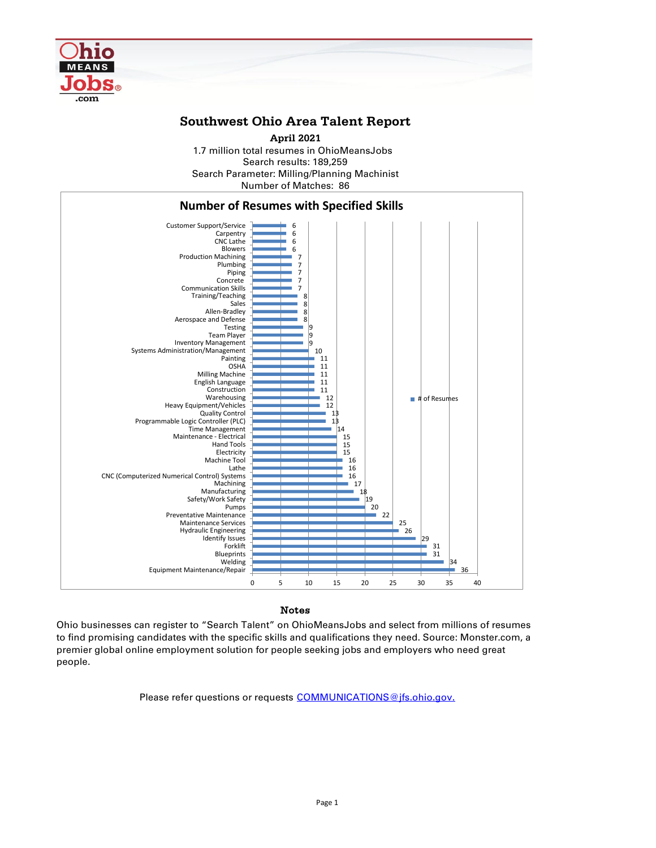

## **Southwest Ohio Area Talent Report**

Search results: 189,259 Number of Matches: 86 Search Parameter: Milling/Planning Machinist **April 2021** 1.7 million total resumes in OhioMeansJobs



## Notes

Ohio businesses can register to "Search Talent" on OhioMeansJobs and select from millions of resumes to find promising candidates with the specific skills and qualifications they need. Source: Monster.com, a premier global online employment solution for people seeking jobs and employers who need great people.

Please refer questions or requests [COMMUNICATIONS@jfs.ohio.gov.](mailto:COMMUNICATIONS@jfs.ohio.gov.)